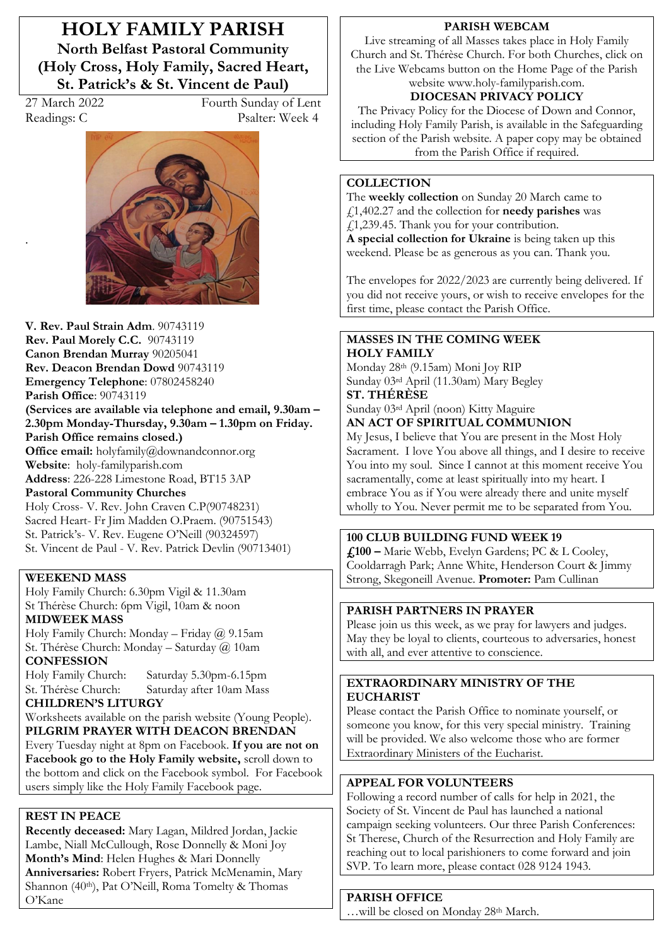**HOLY FAMILY PARISH North Belfast Pastoral Community (Holy Cross, Holy Family, Sacred Heart, St. Patrick's & St. Vincent de Paul)** 

.

27 March 2022 Fourth Sunday of Lent Readings: C Psalter: Week 4



**V. Rev. Paul Strain Adm**. 90743119 **Rev. Paul Morely C.C.** 90743119 **Canon Brendan Murray** 90205041 **Rev. Deacon Brendan Dowd** 90743119 **Emergency Telephone**: 07802458240 **Parish Office**: 90743119 (Services are available via telephone and email,  $9.30$ am -2.30pm Monday-Thursday, 9.30am – 1.30pm on Friday. **Parish Office remains closed.) Office email:** holyfamily@downandconnor.org **Website**: holy-familyparish.com **Address**: 226-228 Limestone Road, BT15 3AP **Pastoral Community Churches** Holy Cross- V. Rev. John Craven C.P(90748231) Sacred Heart- Fr Jim Madden O.Praem. (90751543) St. Patrick's- V. Rev. Eugene O'Neill (90324597) St. Vincent de Paul - V. Rev. Patrick Devlin (90713401)

### **WEEKEND MASS**

Holy Family Church: 6.30pm Vigil & 11.30am St Thérèse Church: 6pm Vigil, 10am & noon **MIDWEEK MASS**

Holy Family Church: Monday - Friday  $\omega$  9.15am St. Thérèse Church: Monday - Saturday @ 10am **CONFESSION**

Holy Family Church: Saturday 5.30pm-6.15pm St. Thérèse Church: Saturday after 10am Mass

## **CHILDREN·S LITURGY**

Worksheets available on the parish website (Young People). **PILGRIM PRAYER WITH DEACON BRENDAN** Every Tuesday night at 8pm on Facebook. **If you are not on Facebook go to the Holy Family website,** scroll down to the bottom and click on the Facebook symbol. For Facebook users simply like the Holy Family Facebook page.

## **REST IN PEACE**

**Recently deceased:** Mary Lagan, Mildred Jordan, Jackie Lambe, Niall McCullough, Rose Donnelly & Moni Joy Month's Mind: Helen Hughes & Mari Donnelly **Anniversaries:** Robert Fryers, Patrick McMenamin, Mary Shannon (40<sup>th</sup>), Pat O'Neill, Roma Tomelty & Thomas O'Kane

#### **PARISH WEBCAM**

Live streaming of all Masses takes place in Holy Family Church and St. Thérèse Church. For both Churches, click on the Live Webcams button on the Home Page of the Parish website www.holy-familyparish.com.

## **DIOCESAN PRIVACY POLICY**

The Privacy Policy for the Diocese of Down and Connor, including Holy Family Parish, is available in the Safeguarding section of the Parish website. A paper copy may be obtained from the Parish Office if required.

### **COLLECTION**

The **weekly collection** on Sunday 20 March came to £1,402.27 and the collection for **needy parishes** was £1,239.45. Thank you for your contribution. **A special collection for Ukraine** is being taken up this weekend. Please be as generous as you can. Thank you.

The envelopes for 2022/2023 are currently being delivered. If you did not receive yours, or wish to receive envelopes for the first time, please contact the Parish Office.

#### **MASSES IN THE COMING WEEK HOLY FAMILY**

Monday 28th (9.15am) Moni Joy RIP Sunday 03rd April (11.30am) Mary Begley **ST. THÉRÈSE** 

Sunday 03rd April (noon) Kitty Maguire **AN ACT OF SPIRITUAL COMMUNION** 

My Jesus, I believe that You are present in the Most Holy Sacrament. I love You above all things, and I desire to receive You into my soul. Since I cannot at this moment receive You sacramentally, come at least spiritually into my heart. I embrace You as if You were already there and unite myself wholly to You. Never permit me to be separated from You.

### **100 CLUB BUILDING FUND WEEK 19**

**£100 ²** Marie Webb, Evelyn Gardens; PC & L Cooley, Cooldarragh Park; Anne White, Henderson Court & Jimmy Strong, Skegoneill Avenue. **Promoter:** Pam Cullinan

## **PARISH PARTNERS IN PRAYER**

Please join us this week, as we pray for lawyers and judges. May they be loyal to clients, courteous to adversaries, honest with all, and ever attentive to conscience.

### **EXTRAORDINARY MINISTRY OF THE EUCHARIST**

Please contact the Parish Office to nominate yourself, or someone you know, for this very special ministry. Training will be provided. We also welcome those who are former Extraordinary Ministers of the Eucharist.

## **APPEAL FOR VOLUNTEERS**

Following a record number of calls for help in 2021, the Society of St. Vincent de Paul has launched a national campaign seeking volunteers. Our three Parish Conferences: St Therese, Church of the Resurrection and Holy Family are reaching out to local parishioners to come forward and join SVP. To learn more, please contact 028 9124 1943.

#### **PARISH OFFICE**

...will be closed on Monday 28<sup>th</sup> March.